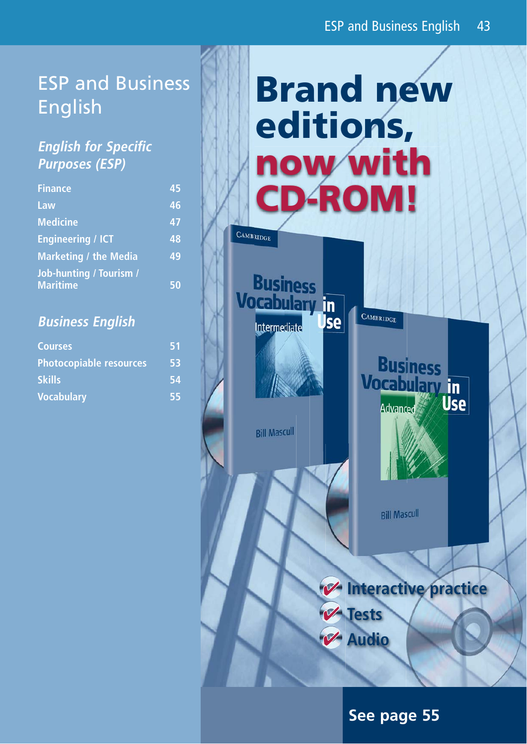# ESP and Business English

# **English for Specific Purposes (ESP)**

| <b>Finance</b>                 | 45 |
|--------------------------------|----|
| Law                            | 46 |
| <b>Medicine</b>                | 47 |
| <b>Engineering / ICT</b>       | 48 |
| <b>Marketing / the Media</b>   | 49 |
| <b>Job-hunting / Tourism /</b> |    |
| <b>Maritime</b>                | 50 |

### **Business English**

| <b>Courses</b>                 | 51 |
|--------------------------------|----|
| <b>Photocopiable resources</b> | 53 |
| <b>Skills</b>                  | 54 |
| <b>Vocabulary</b>              | 55 |

# **Brand new editions, now with CD-ROM!** CAMBRIDGE

**Business** 

**Vocabulary** in

Intermediate

**Bill Mascull** 



CAMBRIDGE

Jse

**Rill Mascull** 

# *V* Interactive practice **V** Tests

**Audio**

# **See page 55**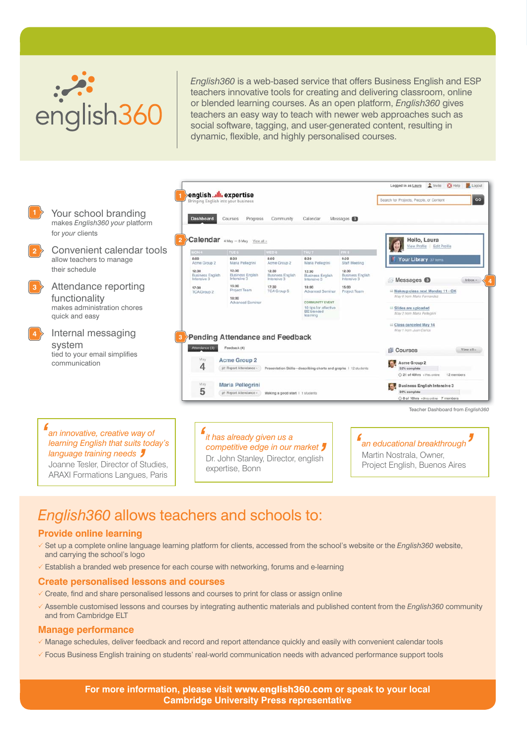

 $\mathcal{A}^{(1)}$  and  $\mathcal{A}^{(2)}$  and  $\mathcal{A}^{(3)}$  and  $\mathcal{A}^{(4)}$  and  $\mathcal{A}^{(5)}$  and  $\mathcal{A}^{(6)}$ 

*English360* is a web-based service that offers Business English and ESP teachers innovative tools for creating and delivering classroom, online or blended learning courses. As an open platform, *English360* gives teachers an easy way to teach with newer web approaches such as social software, tagging, and user-generated content, resulting in dynamic, flexible, and highly personalised courses.



# *English360* allows teachers and schools to:

### **Provide online learning**

- P Set up a complete online language learning platform for clients, accessed from the school's website or the *English360* website, and carrying the school's logo
- $\checkmark$  Establish a branded web presence for each course with networking, forums and e-learning

### **Create personalised lessons and courses**

- $\checkmark$  Create, find and share personalised lessons and courses to print for class or assign online
- P Assemble customised lessons and courses by integrating authentic materials and published content from the *English360* community and from Cambridge ELT

#### **Manage performance**

- $\checkmark$  Manage schedules, deliver feedback and record and report attendance quickly and easily with convenient calendar tools
- $\checkmark$  Focus Business English training on students' real-world communication needs with advanced performance support tools

**For more information, please visit** www.english360.com **or speak to your local Cambridge University Press representative**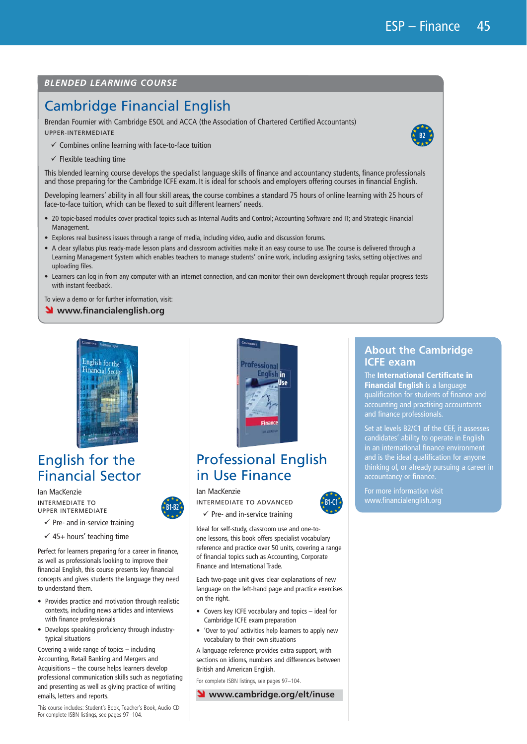**B2**

### *BLENDED LEARNING COURSE*

# Cambridge Financial English

Brendan Fournier with Cambridge ESOL and ACCA (the Association of Chartered Certified Accountants) UPPER-INTERMEDIATE

- $\checkmark$  Combines online learning with face-to-face tuition
- $\checkmark$  Flexible teaching time

This blended learning course develops the specialist language skills of finance and accountancy students, finance professionals and those preparing for the Cambridge ICFE exam. It is ideal for schools and employers offering courses in financial English.

Developing learners' ability in all four skill areas, the course combines a standard 75 hours of online learning with 25 hours of face-to-face tuition, which can be flexed to suit different learners' needs.

- 20 topic-based modules cover practical topics such as Internal Audits and Control; Accounting Software and IT; and Strategic Financial Management.
- t Explores real business issues through a range of media, including video, audio and discussion forums.
- A clear syllabus plus ready-made lesson plans and classroom activities make it an easy course to use. The course is delivered through a Learning Management System which enables teachers to manage students' online work, including assigning tasks, setting objectives and uploading files.
- Learners can log in from any computer with an internet connection, and can monitor their own development through regular progress tests with instant feedback.

To view a demo or for further information, visit:

**N** www.financialenglish.org



# English for the Financial Sector

Ian MacKenzie INTERMEDIATE TO UPPER INTERMEDIATE



- $\checkmark$  Pre- and in-service training
- $\checkmark$  45+ hours' teaching time

Perfect for learners preparing for a career in finance, as well as professionals looking to improve their financial English, this course presents key financial concepts and gives students the language they need to understand them.

- Provides practice and motivation through realistic contexts, including news articles and interviews with finance professionals
- Develops speaking proficiency through industrytypical situations

Covering a wide range of topics – including Accounting, Retail Banking and Mergers and Acquisitions – the course helps learners develop professional communication skills such as negotiating and presenting as well as giving practice of writing emails, letters and reports.

This course includes: Student's Book, Teacher's Book, Audio CD For complete ISBN listings, see pages 97–104.



### Professional English in Use Finance

#### Ian MacKenzie

**B1-B2** INTERMEDIATE TO ADVANCED

 $\checkmark$  Pre- and in-service training

Ideal for self-study, classroom use and one-toone lessons, this book offers specialist vocabulary reference and practice over 50 units, covering a range of financial topics such as Accounting, Corporate Finance and International Trade.

Each two-page unit gives clear explanations of new language on the left-hand page and practice exercises on the right.

- Covers key ICFE vocabulary and topics ideal for Cambridge ICFE exam preparation
- 'Over to you' activities help learners to apply new vocabulary to their own situations

A language reference provides extra support, with sections on idioms, numbers and differences between British and American English.

For complete ISBN listings, see pages 97–104.

Ó **www.cambridge.org/elt/inuse**

### **About the Cambridge ICFE exam**

The **International Certificate in Financial English** is a language qualification for students of finance and accounting and practising accountants and finance professionals.

Set at levels B2/C1 of the CEF, it assesses candidates' ability to operate in English in an international finance environment and is the ideal qualification for anyone thinking of, or already pursuing a career in accountancy or finance.

For more information visit www.financialenglish.org

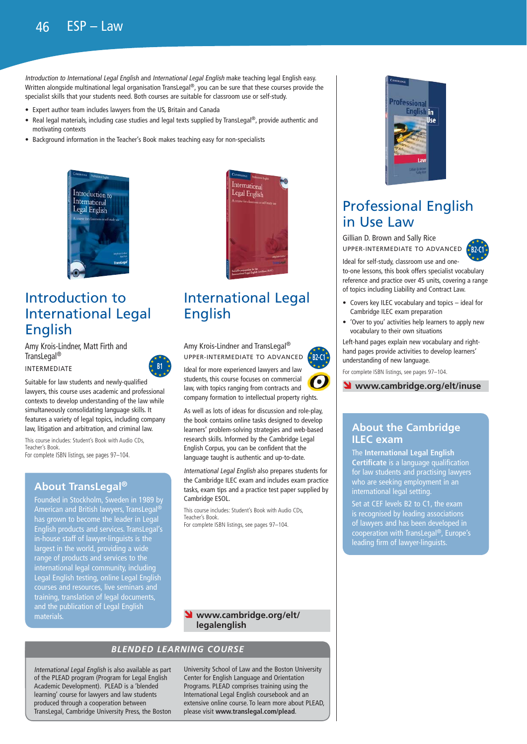Introduction to International Legal English and International Legal English make teaching legal English easy. Written alongside multinational legal organisation TransLegal®, you can be sure that these courses provide the specialist skills that your students need. Both courses are suitable for classroom use or self-study.

- Expert author team includes lawyers from the US, Britain and Canada
- Real legal materials, including case studies and legal texts supplied by TransLegal®, provide authentic and motivating contexts
- Background information in the Teacher's Book makes teaching easy for non-specialists



# Introduction to International Legal English

Amy Krois-Lindner, Matt Firth and TransLegal® INTERMEDIATE



Suitable for law students and newly-qualified lawyers, this course uses academic and professional contexts to develop understanding of the law while simultaneously consolidating language skills. It features a variety of legal topics, including company law, litigation and arbitration, and criminal law.

This course includes: Student's Book with Audio CDs, Teacher's Book. For complete ISBN listings, see pages 97–104.

### **About TransLegal®**

Founded in Stockholm, Sweden in 1989 by American and British lawyers, TransLegal® has grown to become the leader in Legal English products and services. TransLegal's in-house staff of lawyer-linguists is the largest in the world, providing a wide range of products and services to the international legal community, including Legal English testing, online Legal English courses and resources, live seminars and training, translation of legal documents, and the publication of Legal English materials.



# International Legal English

Amy Krois-Lindner and TransLegal® UPPER-INTERMEDIATE TO ADVANCED

Ideal for more experienced lawyers and law students, this course focuses on commercial law, with topics ranging from contracts and company formation to intellectual property rights.

**B2-C1**

As well as lots of ideas for discussion and role-play, the book contains online tasks designed to develop learners' problem-solving strategies and web-based research skills. Informed by the Cambridge Legal English Corpus, you can be confident that the language taught is authentic and up-to-date.

International Legal English also prepares students for the Cambridge ILEC exam and includes exam practice tasks, exam tips and a practice test paper supplied by Cambridge ESOL.

This course includes: Student's Book with Audio CDs, Teacher's Book. For complete ISBN listings, see pages 97–104.



### *BLENDED LEARNING COURSE*

International Legal English is also available as part of the PLEAD program (Program for Legal English Academic Development). PLEAD is a 'blended learning' course for lawyers and law students produced through a cooperation between TransLegal, Cambridge University Press, the Boston

University School of Law and the Boston University Center for English Language and Orientation Programs. PLEAD comprises training using the International Legal English coursebook and an extensive online course. To learn more about PLEAD, please visit **www.translegal.com/plead**.



# Professional English in Use Law

Gillian D. Brown and Sally Rice UPPER-INTERMEDIATE TO ADVANCED



Ideal for self-study, classroom use and oneto-one lessons, this book offers specialist vocabulary reference and practice over 45 units, covering a range of topics including Liability and Contract Law.

- $\bullet$  Covers key ILEC vocabulary and topics ideal for Cambridge ILEC exam preparation
- 'Over to you' activities help learners to apply new vocabulary to their own situations

Left-hand pages explain new vocabulary and righthand pages provide activities to develop learners' understanding of new language.

For complete ISBN listings, see pages 97–104.

### Ó **www.cambridge.org/elt/inuse**

### **About the Cambridge ILEC exam**

The **International Legal English Certificate** is a language qualification for law students and practising lawyers who are seeking employment in an international legal setting.

Set at CEF levels B2 to C1, the exam is recognised by leading associations of lawyers and has been developed in cooperation with TransLegal®, Europe's leading firm of lawyer-linguists.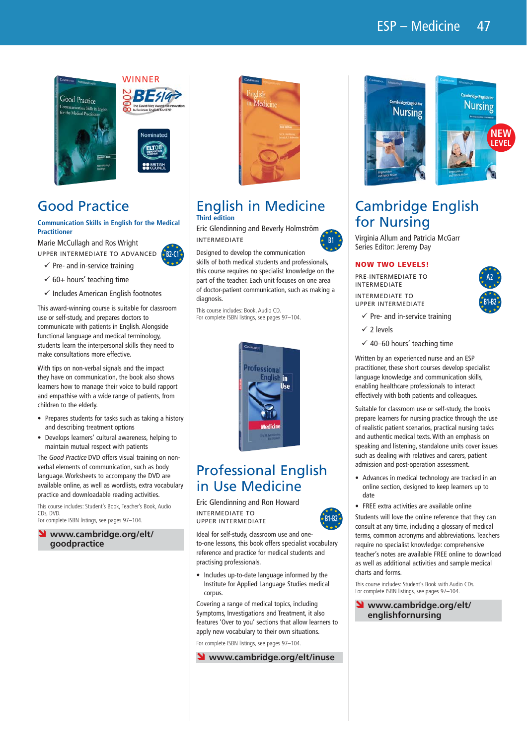



**DO BRITIS** 

# Good Practice

### **Communication Skills in English for the Medical Practitioner**

Marie McCullagh and Ros Wright UPPER INTERMEDIATE TO ADVANCED  $B2-C1$ <sup>\*</sup>



- $\checkmark$  60+ hours' teaching time
- $\checkmark$  Includes American English footnotes

This award-winning course is suitable for classroom use or self-study, and prepares doctors to communicate with patients in English. Alongside functional language and medical terminology, students learn the interpersonal skills they need to make consultations more effective.

With tips on non-verbal signals and the impact they have on communication, the book also shows learners how to manage their voice to build rapport and empathise with a wide range of patients, from children to the elderly.

- Prepares students for tasks such as taking a history and describing treatment options
- Develops learners' cultural awareness, helping to maintain mutual respect with patients

The Good Practice DVD offers visual training on nonverbal elements of communication, such as body language. Worksheets to accompany the DVD are available online, as well as wordlists, extra vocabulary practice and downloadable reading activities.

This course includes: Student's Book, Teacher's Book, Audio CDs, DVD. For complete ISBN listings, see pages 97–104.

www.cambridge.org/elt/

**goodpractice**



### English in Medicine **Third edition**

Eric Glendinning and Beverly Holmström INTERMEDIATE

Designed to develop the communication skills of both medical students and professionals, this course requires no specialist knowledge on the part of the teacher. Each unit focuses on one area of doctor-patient communication, such as making a diagnosis.

This course includes: Book, Audio CD. For complete ISBN listings, see pages 97–104.



# Professional English in Use Medicine

Eric Glendinning and Ron Howard INTERMEDIATE TO UPPER INTERMEDIATE

Ideal for self-study, classroom use and oneto-one lessons, this book offers specialist vocabulary reference and practice for medical students and practising professionals.

• Includes up-to-date language informed by the Institute for Applied Language Studies medical corpus.

Covering a range of medical topics, including Symptoms, Investigations and Treatment, it also features 'Over to you' sections that allow learners to apply new vocabulary to their own situations.

For complete ISBN listings, see pages 97–104.





# Cambridge English for Nursing

Virginia Allum and Patricia McGarr Series Editor: Jeremy Day

### **NOW TWO LEVELS!**

PRE-INTERMEDIATE TO INTERMEDIATE INTERMEDIATE TO UPPER INTERMEDIATE

- $\checkmark$  Pre- and in-service training
- $\checkmark$  2 levels

**B1**

**B1-B2**

 $\checkmark$  40–60 hours' teaching time

Written by an experienced nurse and an ESP practitioner, these short courses develop specialist language knowledge and communication skills, enabling healthcare professionals to interact effectively with both patients and colleagues.

Suitable for classroom use or self-study, the books prepare learners for nursing practice through the use of realistic patient scenarios, practical nursing tasks and authentic medical texts. With an emphasis on speaking and listening, standalone units cover issues such as dealing with relatives and carers, patient admission and post-operation assessment.

- Advances in medical technology are tracked in an online section, designed to keep learners up to date
- FREE extra activities are available online

Students will love the online reference that they can consult at any time, including a glossary of medical terms, common acronyms and abbreviations. Teachers require no specialist knowledge: comprehensive teacher's notes are available FREE online to download as well as additional activities and sample medical charts and forms.

This course includes: Student's Book with Audio CDs. For complete ISBN listings, see pages 97–104.

### Ó **www.cambridge.org/elt/ englishfornursing**

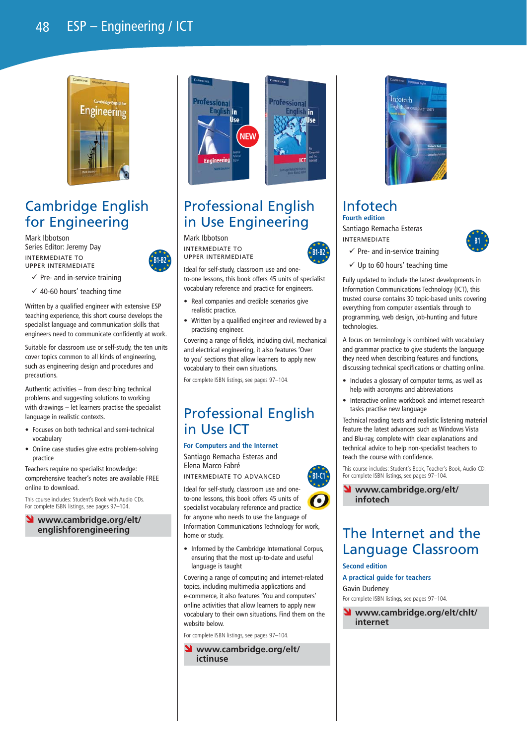## 48 ESP – Engineering / ICT



# Cambridge English for Engineering

Mark Ibbotson Series Editor: Jeremy Day INTERMEDIATE TO UPPER INTERMEDIATE



 $\checkmark$  Pre- and in-service training  $\checkmark$  40-60 hours' teaching time

Written by a qualified engineer with extensive ESP teaching experience, this short course develops the specialist language and communication skills that engineers need to communicate confidently at work.

Suitable for classroom use or self-study, the ten units cover topics common to all kinds of engineering, such as engineering design and procedures and precautions.

Authentic activities – from describing technical problems and suggesting solutions to working with drawings – let learners practise the specialist language in realistic contexts.

- Focuses on both technical and semi-technical vocabulary
- Online case studies give extra problem-solving practice

Teachers require no specialist knowledge: comprehensive teacher's notes are available FREE online to download.

This course includes: Student's Book with Audio CDs. For complete ISBN listings, see pages 97–104.

www.cambridge.org/elt/ **englishforengineering**



# Professional English in Use Engineering

### Mark Ibbotson

INTERMEDIATE TO UPPER INTERMEDIATE



- Real companies and credible scenarios give realistic practice.
- Written by a qualified engineer and reviewed by a practising engineer.

Covering a range of fields, including civil, mechanical and electrical engineering, it also features 'Over to you' sections that allow learners to apply new vocabulary to their own situations.

For complete ISBN listings, see pages 97–104.

### Professional English in Use ICT

#### **For Computers and the Internet**

Santiago Remacha Esteras and Elena Marco Fabré INTERMEDIATE TO ADVANCED

Ideal for self-study, classroom use and oneto-one lessons, this book offers 45 units of ٠ specialist vocabulary reference and practice for anyone who needs to use the language of Information Communications Technology for work, home or study.

• Informed by the Cambridge International Corpus, ensuring that the most up-to-date and useful language is taught

Covering a range of computing and internet-related topics, including multimedia applications and e-commerce, it also features 'You and computers' online activities that allow learners to apply new vocabulary to their own situations. Find them on the website below.

For complete ISBN listings, see pages 97–104.

www.cambridge.org/elt/ **ictinuse**



### Infotech **Fourth edition**

Santiago Remacha Esteras INTERMEDIATE



- $\checkmark$  Pre- and in-service training
- $\checkmark$  Up to 60 hours' teaching time

Fully updated to include the latest developments in Information Communications Technology (ICT), this trusted course contains 30 topic-based units covering everything from computer essentials through to programming, web design, job-hunting and future technologies

A focus on terminology is combined with vocabulary and grammar practice to give students the language they need when describing features and functions, discussing technical specifications or chatting online.

- Includes a glossary of computer terms, as well as help with acronyms and abbreviations
- Interactive online workbook and internet research tasks practise new language

Technical reading texts and realistic listening material feature the latest advances such as Windows Vista and Blu-ray, complete with clear explanations and technical advice to help non-specialist teachers to teach the course with confidence.

This course includes: Student's Book, Teacher's Book, Audio CD. For complete ISBN listings, see pages 97–104.

Ó **www.cambridge.org/elt/ infotech**

## The Internet and the Language Classroom

#### **Second edition**

**B1-C1**

 $\overline{B}$ B1-B2<sup>\*</sup>

**A practical guide for teachers**

Gavin Dudeney

For complete ISBN listings, see pages 97–104.

www.cambridge.org/elt/chlt/ **internet**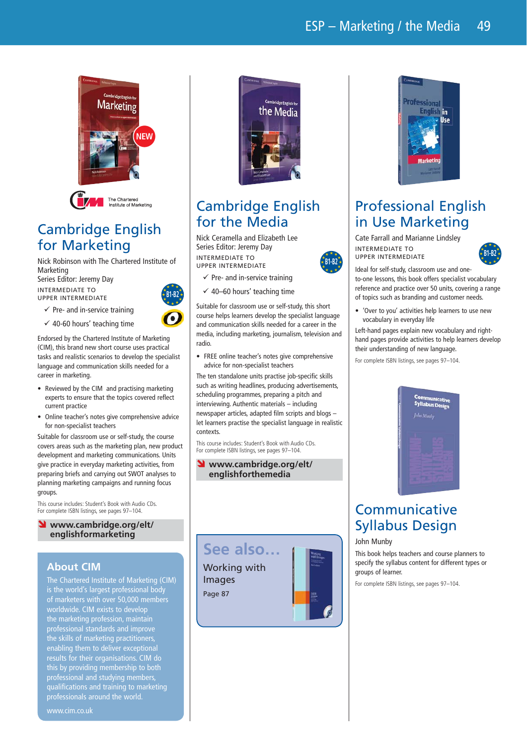

# Cambridge English for Marketing

Nick Robinson with The Chartered Institute of Marketing Series Editor: Jeremy Day

INTERMEDIATE TO UPPER INTERMEDIATE

 $\checkmark$  Pre- and in-service training

 $\checkmark$  40-60 hours' teaching time

**B1-B2**

Endorsed by the Chartered Institute of Marketing (CIM), this brand new short course uses practical tasks and realistic scenarios to develop the specialist language and communication skills needed for a career in marketing.

- $\bullet$  Reviewed by the CIM and practising marketing experts to ensure that the topics covered reflect current practice
- Online teacher's notes give comprehensive advice for non-specialist teachers

Suitable for classroom use or self-study, the course covers areas such as the marketing plan, new product development and marketing communications. Units give practice in everyday marketing activities, from preparing briefs and carrying out SWOT analyses to planning marketing campaigns and running focus groups.

This course includes: Student's Book with Audio CDs. For complete ISBN listings, see pages 97–104.

### www.cambridge.org/elt/ **englishformarketing**

### **About CIM**

The Chartered Institute of Marketing (CIM) is the world's largest professional body of marketers with over 50,000 members worldwide. CIM exists to develop the marketing profession, maintain professional standards and improve the skills of marketing practitioners, enabling them to deliver exceptional results for their organisations. CIM do this by providing membership to both professional and studying members, qualifications and training to marketing professionals around the world.



# Cambridge English for the Media

Nick Ceramella and Elizabeth Lee Series Editor: Jeremy Day INTERMEDIATE TO UPPER INTERMEDIATE



 $\checkmark$  40–60 hours' teaching time

Suitable for classroom use or self-study, this short course helps learners develop the specialist language and communication skills needed for a career in the media, including marketing, journalism, television and radio.

**B1-B2**

• FREE online teacher's notes give comprehensive advice for non-specialist teachers

The ten standalone units practise job-specific skills such as writing headlines, producing advertisements, scheduling programmes, preparing a pitch and interviewing. Authentic materials – including newspaper articles, adapted film scripts and blogs – let learners practise the specialist language in realistic contexts.

This course includes: Student's Book with Audio CDs. For complete ISBN listings, see pages 97–104.

### www.cambridge.org/elt/ **englishforthemedia**





# Professional English in Use Marketing

Cate Farrall and Marianne Lindsley INTERMEDIATE TO UPPER INTERMEDIATE



Ideal for self-study, classroom use and oneto-one lessons, this book offers specialist vocabulary reference and practice over 50 units, covering a range of topics such as branding and customer needs.

• 'Over to you' activities help learners to use new vocabulary in everyday life

Left-hand pages explain new vocabulary and righthand pages provide activities to help learners develop their understanding of new language.

For complete ISBN listings, see pages 97–104.



# Communicative Syllabus Design

### John Munby

This book helps teachers and course planners to specify the syllabus content for different types or groups of learner.

For complete ISBN listings, see pages 97–104.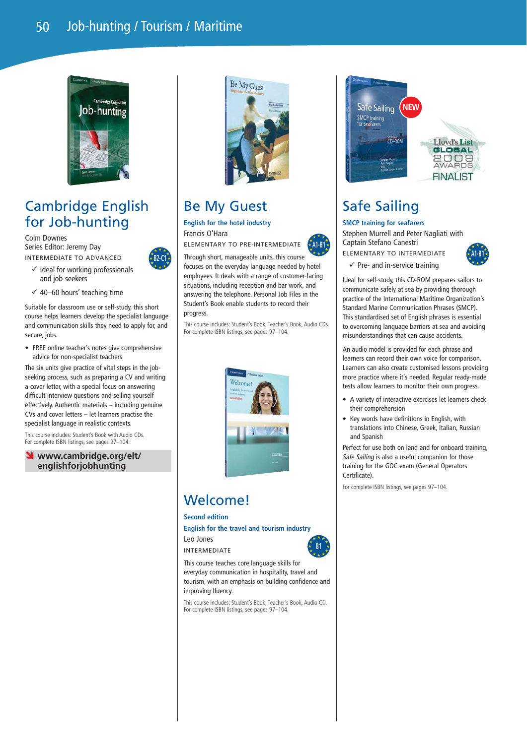

# Cambridge English for Job-hunting

Colm Downes Series Editor: Jeremy Day INTERMEDIATE TO ADVANCED

and job-seekers

- $\checkmark$  Ideal for working professionals **B2-C1**
- $\checkmark$  40–60 hours' teaching time

Suitable for classroom use or self-study, this short course helps learners develop the specialist language and communication skills they need to apply for, and secure, jobs.

• FREE online teacher's notes give comprehensive advice for non-specialist teachers

The six units give practice of vital steps in the jobseeking process, such as preparing a CV and writing a cover letter, with a special focus on answering difficult interview questions and selling yourself effectively. Authentic materials – including genuine CVs and cover letters – let learners practise the specialist language in realistic contexts.

This course includes: Student's Book with Audio CDs. For complete ISBN listings, see pages 97-104.

### www.cambridge.org/elt/ **englishforjobhunting**



# Be My Guest

**English for the hotel industry** Francis O'Hara

ELEMENTARY TO PRE-INTERMEDIATE

Through short, manageable units, this course focuses on the everyday language needed by hotel employees. It deals with a range of customer-facing situations, including reception and bar work, and answering the telephone. Personal Job Files in the Student's Book enable students to record their progress.

This course includes: Student's Book, Teacher's Book, Audio CDs. For complete ISBN listings, see pages 97–104.



# Welcome!

**Second edition**

**English for the travel and tourism industry**

Leo Jones INTERMEDIATE

**B1**

**A1-B1**

This course teaches core language skills for everyday communication in hospitality, travel and tourism, with an emphasis on building confidence and improving fluency.

This course includes: Student's Book, Teacher's Book, Audio CD. For complete ISBN listings, see pages 97–104.



# Safe Sailing

### **SMCP training for seafarers**

Stephen Murrell and Peter Nagliati with Captain Stefano Canestri ELEMENTARY TO INTERMEDIATE



 $\checkmark$  Pre- and in-service training

Ideal for self-study, this CD-ROM prepares sailors to communicate safely at sea by providing thorough practice of the International Maritime Organization's Standard Marine Communication Phrases (SMCP). This standardised set of English phrases is essential to overcoming language barriers at sea and avoiding misunderstandings that can cause accidents.

An audio model is provided for each phrase and learners can record their own voice for comparison. Learners can also create customised lessons providing more practice where it's needed. Regular ready-made tests allow learners to monitor their own progress.

- A variety of interactive exercises let learners check their comprehension
- Key words have definitions in English, with translations into Chinese, Greek, Italian, Russian and Spanish

Perfect for use both on land and for onboard training, Safe Sailing is also a useful companion for those training for the GOC exam (General Operators Certificate).

For complete ISBN listings, see pages 97–104.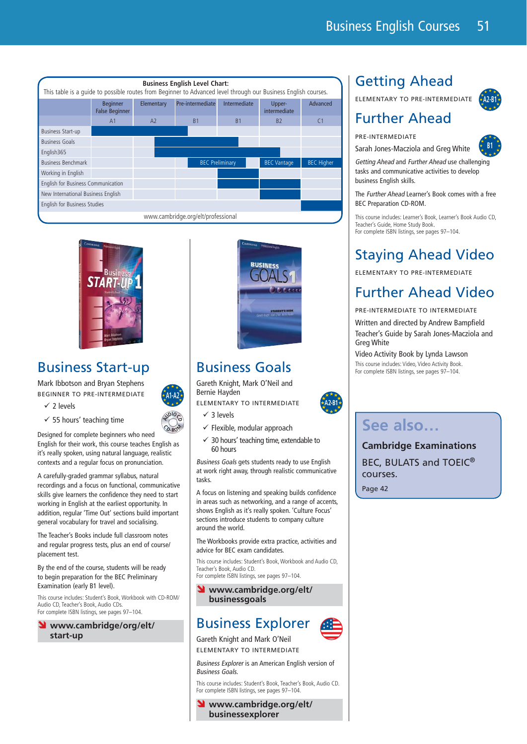



# Business Start-up

Mark Ibbotson and Bryan Stephens BEGINNER TO PRE-INTERMEDIATE



 $\checkmark$  55 hours' teaching time

 $\checkmark$  2 levels

**<sup>C</sup> <sup>D</sup>-R<sup>O</sup> <sup>M</sup>** Designed for complete beginners who need English for their work, this course teaches English as it's really spoken, using natural language, realistic contexts and a regular focus on pronunciation.

A carefully-graded grammar syllabus, natural recordings and a focus on functional, communicative skills give learners the confidence they need to start working in English at the earliest opportunity. In addition, regular 'Time Out' sections build important general vocabulary for travel and socialising.

The Teacher's Books include full classroom notes and regular progress tests, plus an end of course/ placement test.

By the end of the course, students will be ready to begin preparation for the BEC Preliminary Examination (early B1 level).

This course includes: Student's Book, Workbook with CD-ROM/ Audio CD, Teacher's Book, Audio CDs. For complete ISBN listings, see pages 97–104.

### Ó **www.cambridge/org/elt/ start-up**



# Business Goals

Gareth Knight, Mark O'Neil and Bernie Hayden

ELEMENTARY TO INTERMEDIATE

- $\sqrt{3}$  levels
- $\checkmark$  Flexible, modular approach
- $\checkmark$  30 hours' teaching time, extendable to 60 hours

Business Goals gets students ready to use English at work right away, through realistic communicative tasks.

A focus on listening and speaking builds confidence in areas such as networking, and a range of accents, shows English as it's really spoken. 'Culture Focus' sections introduce students to company culture around the world.

The Workbooks provide extra practice, activities and advice for BEC exam candidates.

This course includes: Student's Book, Workbook and Audio CD, Teacher's Book, Audio CD. For complete ISBN listings, see pages 97–104.

www.cambridge.org/elt/ **businessgoals**

# Business Explorer



**A2-B1**

Gareth Knight and Mark O'Neil ELEMENTARY TO INTERMEDIATE

Business Explorer is an American English version of Business Goals.

This course includes: Student's Book, Teacher's Book, Audio CD. For complete ISBN listings, see pages 97–104.

www.cambridge.org/elt/ **businessexplorer**

# Getting Ahead

ELEMENTARY TO PRE-INTERMEDIATE

**A2-B1**

**B1**



### PRE-INTERMEDIATE

Sarah Jones-Macziola and Greg White

Getting Ahead and Further Ahead use challenging tasks and communicative activities to develop business English skills.

The Further Ahead Learner's Book comes with a free BEC Preparation CD-ROM.

This course includes: Learner's Book, Learner's Book Audio CD, Teacher's Guide, Home Study Book. For complete ISBN listings, see pages 97–104.

# Staying Ahead Video

ELEMENTARY TO PRE-INTERMEDIATE

# Further Ahead Video

### PRE-INTERMEDIATE TO INTERMEDIATE

Written and directed by Andrew Bampfield Teacher's Guide by Sarah Jones-Macziola and Greg White

Video Activity Book by Lynda Lawson This course includes: Video, Video Activity Book. For complete ISBN listings, see pages 97–104.

# **See also…**

**Cambridge Examinations** BEC, BULATS and TOEIC® courses. Page 42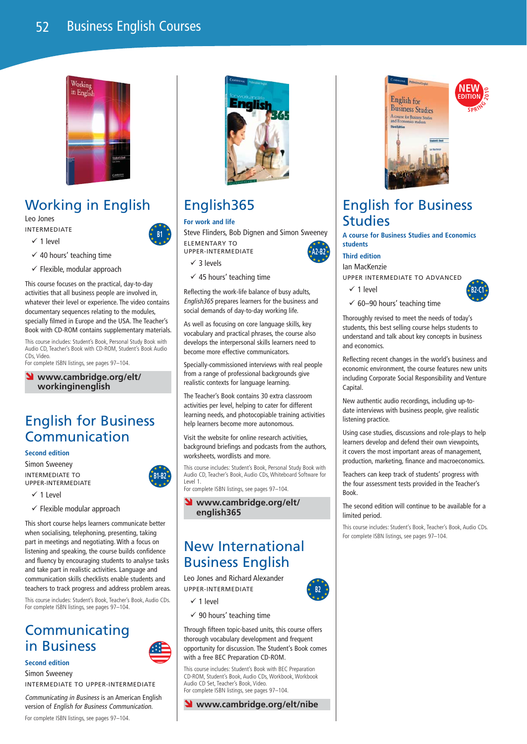

# Working in English

Leo Jones INTERMEDIATE

- $\checkmark$  1 level
- $\checkmark$  40 hours' teaching time
- $\checkmark$  Flexible, modular approach

This course focuses on the practical, day-to-day activities that all business people are involved in, whatever their level or experience. The video contains documentary sequences relating to the modules, specially filmed in Europe and the USA. The Teacher's Book with CD-ROM contains supplementary materials.

This course includes: Student's Book, Personal Study Book with Audio CD, Teacher's Book with CD-ROM, Student's Book Audio CDs, Video.

For complete ISBN listings, see pages 97–104.

www.cambridge.org/elt/ **workinginenglish**

## English for Business Communication

**Second edition**

Simon Sweeney INTERMEDIATE TO UPPER-INTERMEDIATE

- $\sqrt{1}$  level
- $\checkmark$  Flexible modular approach

This short course helps learners communicate better when socialising, telephoning, presenting, taking part in meetings and negotiating. With a focus on listening and speaking, the course builds confidence and fluency by encouraging students to analyse tasks and take part in realistic activities. Language and communication skills checklists enable students and teachers to track progress and address problem areas.

This course includes: Student's Book, Teacher's Book, Audio CDs. For complete ISBN listings, see pages 97–104.

### **Communicating** in Business

**Second edition**

Simon Sweeney

INTERMEDIATE TO UPPER-INTERMEDIATE

Communicating in Business is an American English version of English for Business Communication. For complete ISBN listings, see pages 97–104.



# English365

### **For work and life**

Steve Flinders, Bob Dignen and Simon Sweeney ELEMENTARY TO UPPER-INTERMEDIATE **A2-B2**

 $\angle$  3 levels

**B1**

**B1-B2**

 $\checkmark$  45 hours' teaching time

Reflecting the work-life balance of busy adults, English365 prepares learners for the business and social demands of day-to-day working life.

As well as focusing on core language skills, key vocabulary and practical phrases, the course also develops the interpersonal skills learners need to become more effective communicators.

Specially-commissioned interviews with real people from a range of professional backgrounds give realistic contexts for language learning.

The Teacher's Book contains 30 extra classroom activities per level, helping to cater for different learning needs, and photocopiable training activities help learners become more autonomous.

Visit the website for online research activities, background briefings and podcasts from the authors, worksheets, wordlists and more.

This course includes: Student's Book, Personal Study Book with Audio CD, Teacher's Book, Audio CDs, Whiteboard Software for Level 1.

For complete ISBN listings, see pages 97–104.



# New International Business English

Leo Jones and Richard Alexander UPPER-INTERMEDIATE

- $\checkmark$  1 level
- $\checkmark$  90 hours' teaching time

Through fifteen topic-based units, this course offers thorough vocabulary development and frequent opportunity for discussion. The Student's Book comes with a free BEC Preparation CD-ROM.

This course includes: Student's Book with BEC Preparation CD-ROM, Student's Book, Audio CDs, Workbook, Workbook Audio CD Set, Teacher's Book, Video. For complete ISBN listings, see pages 97–104.

Ó **www.cambridge.org/elt/nibe**



# English for Business Studies

**A course for Business Studies and Economics students**

**Third edition**

Ian MacKenzie

UPPER INTERMEDIATE TO ADVANCED

 $\checkmark$  1 level



**NEW EDITION E W**<br>TION<br>SPRING

 $\times$  60-90 hours' teaching time

Thoroughly revised to meet the needs of today's students, this best selling course helps students to understand and talk about key concepts in business and economics.

Reflecting recent changes in the world's business and economic environment, the course features new units including Corporate Social Responsibility and Venture Capital

New authentic audio recordings, including up-todate interviews with business people, give realistic listening practice.

Using case studies, discussions and role-plays to help learners develop and defend their own viewpoints, it covers the most important areas of management, production, marketing, finance and macroeconomics.

Teachers can keep track of students' progress with the four assessment tests provided in the Teacher's Book.

The second edition will continue to be available for a limited period.

This course includes: Student's Book, Teacher's Book, Audio CDs. For complete ISBN listings, see pages 97–104.

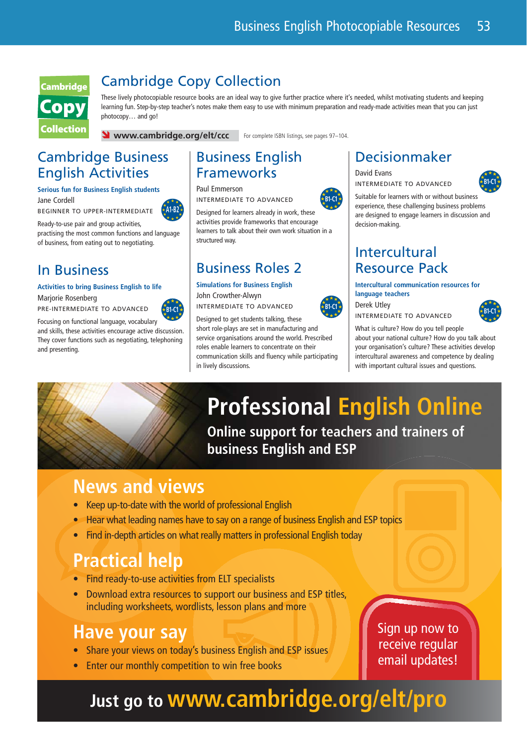

## Cambridge Copy Collection

These lively photocopiable resource books are an ideal way to give further practice where it's needed, whilst motivating students and keeping learning fun. Step-by-step teacher's notes make them easy to use with minimum preparation and ready-made activities mean that you can just photocopy… and go!

**V** www.cambridge.org/elt/ccc For complete ISBN listings, see pages 97-104.

# Cambridge Business English Activities

### **Serious fun for Business English students**

Jane Cordell BEGINNER TO UPPER-INTERMEDIATE



Ready-to-use pair and group activities, practising the most common functions and language of business, from eating out to negotiating.

# In Business

### **Activities to bring Business English to life**

Marjorie Rosenberg PRE-INTERMEDIATE TO ADVANCED



Focusing on functional language, vocabulary and skills, these activities encourage active discussion. They cover functions such as negotiating, telephoning and presenting.



INTERMEDIATE TO ADVANCED

Designed for learners already in work, these activities provide frameworks that encourage learners to talk about their own work situation in a structured way.

# Business Roles 2

**Simulations for Business English** John Crowther-Alwyn

short role-plays are set in manufacturing and service organisations around the world. Prescribed roles enable learners to concentrate on their communication skills and fluency while participating in lively discussions.

### Decisionmaker

David Evans INTERMEDIATE TO ADVANCED



Suitable for learners with or without business experience, these challenging business problems are designed to engage learners in discussion and decision-making.

# Intercultural Resource Pack

**Intercultural communication resources for language teachers**



Derek Utley



What is culture? How do you tell people about your national culture? How do you talk about your organisation's culture? These activities develop intercultural awareness and competence by dealing with important cultural issues and questions.

# **Professional English Online**

**Online support for teachers and trainers of business English and ESP**

# **News and views**

- Keep up-to-date with the world of professional English
- Hear what leading names have to say on a range of business English and ESP topics
- Find in-depth articles on what really matters in professional English today

# **Practical help**

- Find ready-to-use activities from ELT specialists
- Download extra resources to support our business and ESP titles, including worksheets, wordlists, lesson plans and more

# **Have your say**

- Share your views on today's business English and ESP issues
- Enter our monthly competition to win free books

Sign up now to receive regular email updates!

# **Just go to www.cambridge.org/elt/pro**

**B1-C1**





INTERMEDIATE TO ADVANCED B<sub>1-C1</sub> INTERMEDIATE TO ADVANCED<br> **B1-C1 B1-C1 B1-C1 B1-C1 B1-C1 B1-C1 B1-C1 B1-C1 B1-C1 B1-C1 B1-C1** 

Designed to get students talking, these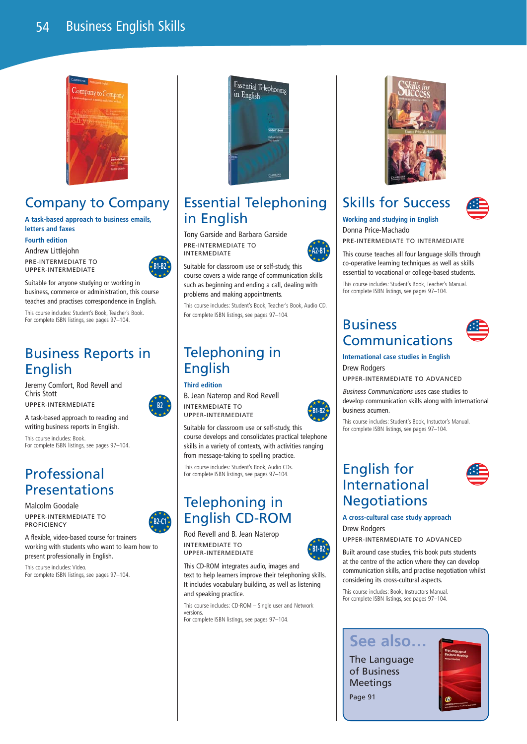

# Company to Company

### **A task-based approach to business emails, letters and faxes**

**Fourth edition**

Andrew Littlejohn PRE-INTERMEDIATE TO

UPPER-INTERMEDIATE



**B2**

**B2-C1**

Suitable for anyone studying or working in business, commerce or administration, this course teaches and practises correspondence in English.

This course includes: Student's Book, Teacher's Book. For complete ISBN listings, see pages 97–104.

# Business Reports in English

Jeremy Comfort, Rod Revell and Chris Stott

UPPER-INTERMEDIATE

A task-based approach to reading and writing business reports in English.

This course includes: Book. For complete ISBN listings, see pages 97–104.

# Professional Presentations

Malcolm Goodale UPPER-INTERMEDIATE TO **PROFICIENCY** 

A flexible, video-based course for trainers working with students who want to learn how to present professionally in English.

This course includes: Video. For complete ISBN listings, see pages 97–104.



# Essential Telephoning in English

Tony Garside and Barbara Garside PRE-INTERMEDIATE TO INTERMEDIATE

Suitable for classroom use or self-study, this course covers a wide range of communication skills such as beginning and ending a call, dealing with problems and making appointments.

This course includes: Student's Book, Teacher's Book, Audio CD. For complete ISBN listings, see pages 97–104.

# Telephoning in English

### **Third edition**

B. Jean Naterop and Rod Revell INTERMEDIATE TO UPPER-INTERMEDIATE

Suitable for classroom use or self-study, this course develops and consolidates practical telephone skills in a variety of contexts, with activities ranging from message-taking to spelling practice.

This course includes: Student's Book, Audio CDs. For complete ISBN listings, see pages 97–104.

# Telephoning in English CD-ROM

Rod Revell and B. Jean Naterop INTERMEDIATE TO UPPER-INTERMEDIATE

This CD-ROM integrates audio, images and text to help learners improve their telephoning skills. It includes vocabulary building, as well as listening and speaking practice.

This course includes: CD-ROM – Single user and Network versions. For complete ISBN listings, see pages 97–104.

# Skills for Success



**Working and studying in English** Donna Price-Machado

PRE-INTERMEDIATE TO INTERMEDIATE

This course teaches all four language skills through co-operative learning techniques as well as skills essential to vocational or college-based students.

This course includes: Student's Book, Teacher's Manual. For complete ISBN listings, see pages 97-104.

### Business Communications



**International case studies in English** Drew Rodgers

UPPER-INTERMEDIATE TO ADVANCED

Business Communications uses case studies to develop communication skills along with international business acumen.

This course includes: Student's Book, Instuctor's Manual. For complete ISBN listings, see pages 97–104.

# English for International **Negotiations**



### **A cross-cultural case study approach** Drew Rodgers

UPPER-INTERMEDIATE TO ADVANCED

Built around case studies, this book puts students at the centre of the action where they can develop communication skills, and practise negotiation whilst considering its cross-cultural aspects.

This course includes: Book, Instructors Manual. For complete ISBN listings, see pages 97–104.

# **See also…**

The Language of Business Meetings Page 91





**B1-B2**

**A2-B1**